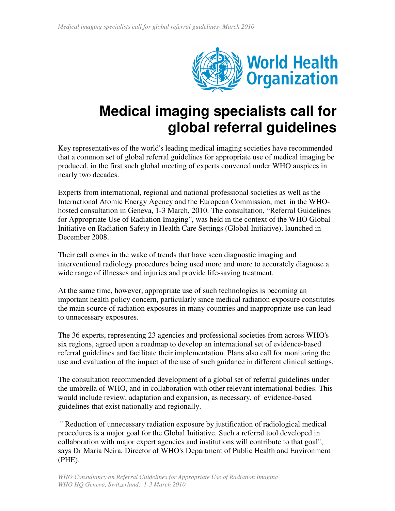

## **Medical imaging specialists call for global referral guidelines**

Key representatives of the world's leading medical imaging societies have recommended that a common set of global referral guidelines for appropriate use of medical imaging be produced, in the first such global meeting of experts convened under WHO auspices in nearly two decades.

Experts from international, regional and national professional societies as well as the International Atomic Energy Agency and the European Commission, met in the WHOhosted consultation in Geneva, 1-3 March, 2010. The consultation, "Referral Guidelines for Appropriate Use of Radiation Imaging", was held in the context of the WHO Global Initiative on Radiation Safety in Health Care Settings (Global Initiative), launched in December 2008.

Their call comes in the wake of trends that have seen diagnostic imaging and interventional radiology procedures being used more and more to accurately diagnose a wide range of illnesses and injuries and provide life-saving treatment.

At the same time, however, appropriate use of such technologies is becoming an important health policy concern, particularly since medical radiation exposure constitutes the main source of radiation exposures in many countries and inappropriate use can lead to unnecessary exposures.

The 36 experts, representing 23 agencies and professional societies from across WHO's six regions, agreed upon a roadmap to develop an international set of evidence-based referral guidelines and facilitate their implementation. Plans also call for monitoring the use and evaluation of the impact of the use of such guidance in different clinical settings.

The consultation recommended development of a global set of referral guidelines under the umbrella of WHO, and in collaboration with other relevant international bodies. This would include review, adaptation and expansion, as necessary, of evidence-based guidelines that exist nationally and regionally.

" Reduction of unnecessary radiation exposure by justification of radiological medical procedures is a major goal for the Global Initiative. Such a referral tool developed in collaboration with major expert agencies and institutions will contribute to that goal", says Dr Maria Neira, Director of WHO's Department of Public Health and Environment (PHE).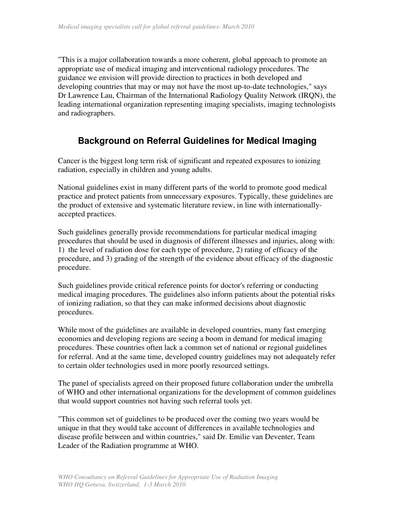"This is a major collaboration towards a more coherent, global approach to promote an appropriate use of medical imaging and interventional radiology procedures. The guidance we envision will provide direction to practices in both developed and developing countries that may or may not have the most up-to-date technologies," says Dr Lawrence Lau, Chairman of the International Radiology Quality Network (IRQN), the leading international organization representing imaging specialists, imaging technologists and radiographers.

## **Background on Referral Guidelines for Medical Imaging**

Cancer is the biggest long term risk of significant and repeated exposures to ionizing radiation, especially in children and young adults.

National guidelines exist in many different parts of the world to promote good medical practice and protect patients from unnecessary exposures. Typically, these guidelines are the product of extensive and systematic literature review, in line with internationallyaccepted practices.

Such guidelines generally provide recommendations for particular medical imaging procedures that should be used in diagnosis of different illnesses and injuries, along with: 1) the level of radiation dose for each type of procedure, 2) rating of efficacy of the procedure, and 3) grading of the strength of the evidence about efficacy of the diagnostic procedure.

Such guidelines provide critical reference points for doctor's referring or conducting medical imaging procedures. The guidelines also inform patients about the potential risks of ionizing radiation, so that they can make informed decisions about diagnostic procedures.

While most of the guidelines are available in developed countries, many fast emerging economies and developing regions are seeing a boom in demand for medical imaging procedures. These countries often lack a common set of national or regional guidelines for referral. And at the same time, developed country guidelines may not adequately refer to certain older technologies used in more poorly resourced settings.

The panel of specialists agreed on their proposed future collaboration under the umbrella of WHO and other international organizations for the development of common guidelines that would support countries not having such referral tools yet.

"This common set of guidelines to be produced over the coming two years would be unique in that they would take account of differences in available technologies and disease profile between and within countries," said Dr. Emilie van Deventer, Team Leader of the Radiation programme at WHO.